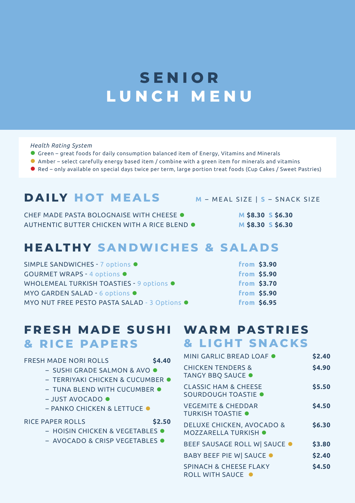## **SENIOR LUNCH MENU**

#### *Health Rating System*

- ⚫ Green great foods for daily consumption balanced item of Energy, Vitamins and Minerals
- ⚫ Amber select carefully energy based item / combine with a green item for minerals and vitamins
- Red only available on special days twice per term, large portion treat foods (Cup Cakes / Sweet Pastries)

## **DAILY HOT MEALS <sup>M</sup>**– MEAL SIZE | **S** – SNACK SIZE

CHEF MADE PASTA BOLOGNAISE WITH CHEESE ● **M \$8.30 S \$6.30** AUTHENTIC BUTTER CHICKEN WITH A RICE BLEND ⚫ **M \$8.30 S \$6.30**

## **HEALTHY SANDWICHES & SALADS**

| SIMPLE SANDWICHES - 7 options ●              | from \$3.90        |
|----------------------------------------------|--------------------|
| <b>GOURMET WRAPS - 4 options ·</b>           | <b>from \$5.90</b> |
| WHOLEMEAL TURKISH TOASTIES - 9 options ●     | from \$3.70        |
| MYO GARDEN SALAD - 6 options $\bullet$       | from \$5.90        |
| MYO NUT FREE PESTO PASTA SALAD - 3 Options ● | from \$6.95        |

### **FRESH MADE SUSHI WARM PASTRIES & RICE PAPERS**

#### FRESH MADE NORI ROLLS **\$4.40**

- SUSHI GRADE SALMON & AVO ⚫
- TERRIYAKI CHICKEN & CUCUMBER ⚫
- TUNA BLEND WITH CUCUMBER ●
- JUST AVOCADO ⚫
- PANKO CHICKEN & LETTUCE ⚫

#### RICE PAPER ROLLS **\$2.50**

- HOISIN CHICKEN & VEGETABLES ⚫
- AVOCADO & CRISP VEGETABLES ⚫

# **& LIGHT SNACKS**

| MINI GARLIC BREAD LOAF .                                     | \$2.40 |
|--------------------------------------------------------------|--------|
| <b>CHICKEN TENDERS &amp;</b><br>TANGY BBQ SAUCE .            | \$4.90 |
| <b>CLASSIC HAM &amp; CHEESE</b><br>SOURDOUGH TOASTIE .       | \$5.50 |
| <b>VEGEMITE &amp; CHEDDAR</b><br><b>TURKISH TOASTIE .</b>    | \$4.50 |
| <b>DELUXE CHICKEN, AVOCADO &amp;</b><br>MOZZARELLA TURKISH . | \$6.30 |
| BEEF SAUSAGE ROLL W SAUCE .                                  | \$3.80 |
| <b>BABY BEEF PIE W  SAUCE ●</b>                              | \$2.40 |
| <b>SPINACH &amp; CHEESE FLAKY</b><br><b>ROLL WITH SAUCE</b>  | \$4.50 |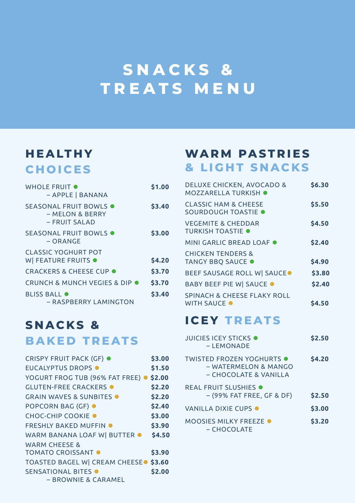## **SNACKS & TREATS MENU**

## **HEALTHY CHOICES**

| WHOLE FRUIT $\bullet$<br>- APPLE   BANANA                          | \$1.00 |
|--------------------------------------------------------------------|--------|
| SEASONAL FRUIT BOWLS $\bullet$<br>– MELON & BERRY<br>– FRUIT SALAD | \$3.40 |
| SEASONAL FRUIT BOWLS $\bullet$<br>– ORANGE                         | \$3.00 |
| <b>CLASSIC YOGHURT POT</b><br>W FEATURE FRUITS .                   | \$4.20 |
| <b>CRACKERS &amp; CHEESE CUP ●</b>                                 | \$3.70 |
| CRUNCH & MUNCH VEGIES & DIP ●                                      | \$3.70 |
| <b>BLISS BALL O</b><br>- RASPBERRY LAMINGTON                       | \$3.40 |

### **SNACKS & BAKED TREATS**

| <b>CRISPY FRUIT PACK (GF) ●</b>                  | \$3.00 |
|--------------------------------------------------|--------|
| <b>EUCALYPTUS DROPS ·</b>                        | \$1.50 |
| YOGURT FROG TUB (96% FAT FREE) ·                 | \$2.00 |
| <b>GLUTEN-FREE CRACKERS .</b>                    | \$2.20 |
| <b>GRAIN WAVES &amp; SUNBITES O</b>              | \$2.20 |
| <b>POPCORN BAG (GF) ●</b>                        | \$2.40 |
| <b>CHOC-CHIP COOKIE ●</b>                        | \$3.00 |
| <b>FRESHLY BAKED MUFFIN .</b>                    | \$3.90 |
| WARM BANANA LOAF W BUTTER .                      | \$4.50 |
| <b>WARM CHEESE &amp;</b>                         |        |
| <b>TOMATO CROISSANT O</b>                        | \$3.90 |
| TOASTED BAGEL W CREAM CHEESE <sup>.</sup> \$3.60 |        |
| SENSATIONAL BITES .                              | \$2.00 |
| – BROWNIE & CARAMEL                              |        |

### **WARM PASTRIES & LIGHT SNACKS**

| <b>DELUXE CHICKEN, AVOCADO &amp;</b><br><b>MOZZARELLA TURKISH .</b> | \$6.30       |
|---------------------------------------------------------------------|--------------|
| CLASSIC HAM & CHEESE<br>SOURDOUGH TOASTIE .                         | \$5.50       |
| <b>VEGEMITE &amp; CHEDDAR</b><br><b>TURKISH TOASTIF O</b>           | \$4.50       |
| MINI GARLIC BREAD LOAF ●                                            | \$2.40       |
| <b>CHICKEN TENDERS &amp;</b><br>TANGY BBQ SAUCE .                   | \$4.90       |
| BEEF SAUSAGE ROLL W SAUCE.                                          | \$3.80       |
| <b>BABY BEEF PIE W  SAUCE ●</b>                                     | \$2.40       |
| <b>SPINACH &amp; CHEESE FLAKY ROLL</b><br><b>WITH SAUCE O</b>       | <b>S4.50</b> |

## **ICEY TREATS**

| <b>JUICIES ICEY STICKS .</b><br>– LEMONADE                                        | \$2.50 |
|-----------------------------------------------------------------------------------|--------|
| <b>TWISTED FROZEN YOGHURTS ●</b><br>– WATERMELON & MANGO<br>– CHOCOLATE & VANILLA | \$4.20 |
| REAL FRUIT SLUSHIES .<br>- (99% FAT FREE, GF & DF)                                | \$2.50 |
| VANILLA DIXIE CUPS O                                                              | \$3.00 |
| MOOSIES MILKY FREEZE .<br>– CHOCOLATE                                             | \$3.20 |